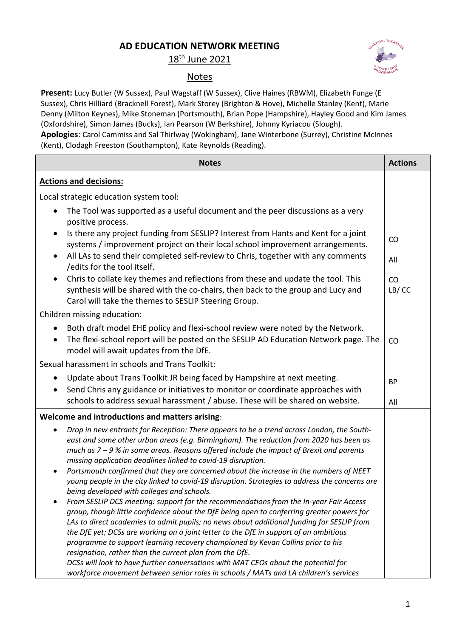## **AD EDUCATION NETWORK MEETING**

18th June 2021

## Notes

**Present:** Lucy Butler (W Sussex), Paul Wagstaff (W Sussex), Clive Haines (RBWM), Elizabeth Funge (E Sussex), Chris Hilliard (Bracknell Forest), Mark Storey (Brighton & Hove), Michelle Stanley (Kent), Marie Denny (Milton Keynes), Mike Stoneman (Portsmouth), Brian Pope (Hampshire), Hayley Good and Kim James (Oxfordshire), Simon James (Bucks), Ian Pearson (W Berkshire), Johnny Kyriacou (Slough). **Apologies**: Carol Cammiss and Sal Thirlway (Wokingham), Jane Winterbone (Surrey), Christine McInnes

(Kent), Clodagh Freeston (Southampton), Kate Reynolds (Reading).

| <b>Notes</b>                                                                                                                                                                                                                                                                                                                                                                                                                                                                                                                                                                                                                                                                                                                                                                                                                                                                                                                                                                                                                                                                                                                                                                                                                                                                                       | <b>Actions</b>           |
|----------------------------------------------------------------------------------------------------------------------------------------------------------------------------------------------------------------------------------------------------------------------------------------------------------------------------------------------------------------------------------------------------------------------------------------------------------------------------------------------------------------------------------------------------------------------------------------------------------------------------------------------------------------------------------------------------------------------------------------------------------------------------------------------------------------------------------------------------------------------------------------------------------------------------------------------------------------------------------------------------------------------------------------------------------------------------------------------------------------------------------------------------------------------------------------------------------------------------------------------------------------------------------------------------|--------------------------|
| <b>Actions and decisions:</b>                                                                                                                                                                                                                                                                                                                                                                                                                                                                                                                                                                                                                                                                                                                                                                                                                                                                                                                                                                                                                                                                                                                                                                                                                                                                      |                          |
| Local strategic education system tool:                                                                                                                                                                                                                                                                                                                                                                                                                                                                                                                                                                                                                                                                                                                                                                                                                                                                                                                                                                                                                                                                                                                                                                                                                                                             |                          |
| The Tool was supported as a useful document and the peer discussions as a very<br>positive process.<br>Is there any project funding from SESLIP? Interest from Hants and Kent for a joint<br>systems / improvement project on their local school improvement arrangements.<br>All LAs to send their completed self-review to Chris, together with any comments<br>$\bullet$<br>/edits for the tool itself.<br>Chris to collate key themes and reflections from these and update the tool. This<br>synthesis will be shared with the co-chairs, then back to the group and Lucy and                                                                                                                                                                                                                                                                                                                                                                                                                                                                                                                                                                                                                                                                                                                 | CO<br>All<br>CO<br>LB/CC |
| Carol will take the themes to SESLIP Steering Group.                                                                                                                                                                                                                                                                                                                                                                                                                                                                                                                                                                                                                                                                                                                                                                                                                                                                                                                                                                                                                                                                                                                                                                                                                                               |                          |
| Children missing education:                                                                                                                                                                                                                                                                                                                                                                                                                                                                                                                                                                                                                                                                                                                                                                                                                                                                                                                                                                                                                                                                                                                                                                                                                                                                        |                          |
| Both draft model EHE policy and flexi-school review were noted by the Network.<br>$\bullet$<br>The flexi-school report will be posted on the SESLIP AD Education Network page. The<br>model will await updates from the DfE.                                                                                                                                                                                                                                                                                                                                                                                                                                                                                                                                                                                                                                                                                                                                                                                                                                                                                                                                                                                                                                                                       | CO                       |
| Sexual harassment in schools and Trans Toolkit:                                                                                                                                                                                                                                                                                                                                                                                                                                                                                                                                                                                                                                                                                                                                                                                                                                                                                                                                                                                                                                                                                                                                                                                                                                                    |                          |
| Update about Trans Toolkit JR being faced by Hampshire at next meeting.<br>Send Chris any guidance or initiatives to monitor or coordinate approaches with<br>schools to address sexual harassment / abuse. These will be shared on website.                                                                                                                                                                                                                                                                                                                                                                                                                                                                                                                                                                                                                                                                                                                                                                                                                                                                                                                                                                                                                                                       | <b>BP</b><br>All         |
| Welcome and introductions and matters arising:                                                                                                                                                                                                                                                                                                                                                                                                                                                                                                                                                                                                                                                                                                                                                                                                                                                                                                                                                                                                                                                                                                                                                                                                                                                     |                          |
| Drop in new entrants for Reception: There appears to be a trend across London, the South-<br>east and some other urban areas (e.g. Birmingham). The reduction from 2020 has been as<br>much as $7 - 9$ % in some areas. Reasons offered include the impact of Brexit and parents<br>missing application deadlines linked to covid-19 disruption.<br>Portsmouth confirmed that they are concerned about the increase in the numbers of NEET<br>young people in the city linked to covid-19 disruption. Strategies to address the concerns are<br>being developed with colleges and schools.<br>From SESLIP DCS meeting: support for the recommendations from the In-year Fair Access<br>group, though little confidence about the DfE being open to conferring greater powers for<br>LAs to direct academies to admit pupils; no news about additional funding for SESLIP from<br>the DfE yet; DCSs are working on a joint letter to the DfE in support of an ambitious<br>programme to support learning recovery championed by Kevan Collins prior to his<br>resignation, rather than the current plan from the DfE.<br>DCSs will look to have further conversations with MAT CEOs about the potential for<br>workforce movement between senior roles in schools / MATs and LA children's services |                          |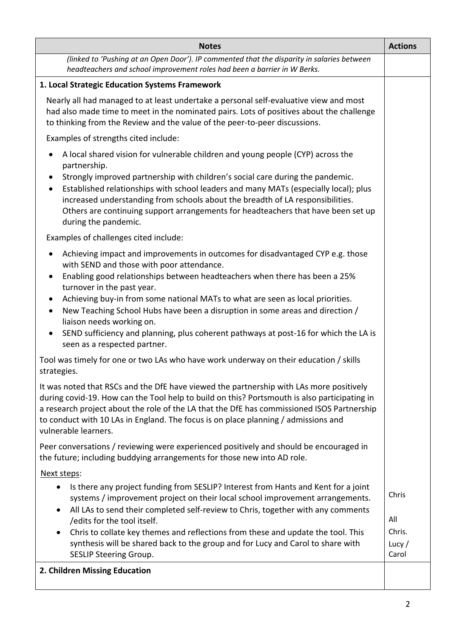| <b>Notes</b>                                                                                                                                                                                                                                                                                                                                                                                                                                                                                                                                                                              | <b>Actions</b>                              |
|-------------------------------------------------------------------------------------------------------------------------------------------------------------------------------------------------------------------------------------------------------------------------------------------------------------------------------------------------------------------------------------------------------------------------------------------------------------------------------------------------------------------------------------------------------------------------------------------|---------------------------------------------|
| (linked to 'Pushing at an Open Door'). IP commented that the disparity in salaries between<br>headteachers and school improvement roles had been a barrier in W Berks.                                                                                                                                                                                                                                                                                                                                                                                                                    |                                             |
| 1. Local Strategic Education Systems Framework                                                                                                                                                                                                                                                                                                                                                                                                                                                                                                                                            |                                             |
| Nearly all had managed to at least undertake a personal self-evaluative view and most<br>had also made time to meet in the nominated pairs. Lots of positives about the challenge<br>to thinking from the Review and the value of the peer-to-peer discussions.                                                                                                                                                                                                                                                                                                                           |                                             |
| Examples of strengths cited include:                                                                                                                                                                                                                                                                                                                                                                                                                                                                                                                                                      |                                             |
| A local shared vision for vulnerable children and young people (CYP) across the<br>٠<br>partnership.<br>Strongly improved partnership with children's social care during the pandemic.<br>Established relationships with school leaders and many MATs (especially local); plus<br>٠<br>increased understanding from schools about the breadth of LA responsibilities.<br>Others are continuing support arrangements for headteachers that have been set up<br>during the pandemic.                                                                                                        |                                             |
| Examples of challenges cited include:                                                                                                                                                                                                                                                                                                                                                                                                                                                                                                                                                     |                                             |
| Achieving impact and improvements in outcomes for disadvantaged CYP e.g. those<br>with SEND and those with poor attendance.<br>Enabling good relationships between headteachers when there has been a 25%<br>$\bullet$<br>turnover in the past year.<br>Achieving buy-in from some national MATs to what are seen as local priorities.<br>New Teaching School Hubs have been a disruption in some areas and direction /<br>$\bullet$<br>liaison needs working on.<br>SEND sufficiency and planning, plus coherent pathways at post-16 for which the LA is<br>seen as a respected partner. |                                             |
| Tool was timely for one or two LAs who have work underway on their education / skills<br>strategies.                                                                                                                                                                                                                                                                                                                                                                                                                                                                                      |                                             |
| It was noted that RSCs and the DfE have viewed the partnership with LAs more positively<br>during covid-19. How can the Tool help to build on this? Portsmouth is also participating in<br>a research project about the role of the LA that the DfE has commissioned ISOS Partnership<br>to conduct with 10 LAs in England. The focus is on place planning / admissions and<br>vulnerable learners.                                                                                                                                                                                       |                                             |
| Peer conversations / reviewing were experienced positively and should be encouraged in<br>the future; including buddying arrangements for those new into AD role.                                                                                                                                                                                                                                                                                                                                                                                                                         |                                             |
| Next steps:                                                                                                                                                                                                                                                                                                                                                                                                                                                                                                                                                                               |                                             |
| Is there any project funding from SESLIP? Interest from Hants and Kent for a joint<br>$\bullet$<br>systems / improvement project on their local school improvement arrangements.<br>All LAs to send their completed self-review to Chris, together with any comments<br>$\bullet$<br>/edits for the tool itself.<br>Chris to collate key themes and reflections from these and update the tool. This<br>synthesis will be shared back to the group and for Lucy and Carol to share with<br><b>SESLIP Steering Group.</b>                                                                  | Chris<br>All<br>Chris.<br>Lucy $/$<br>Carol |
| 2. Children Missing Education                                                                                                                                                                                                                                                                                                                                                                                                                                                                                                                                                             |                                             |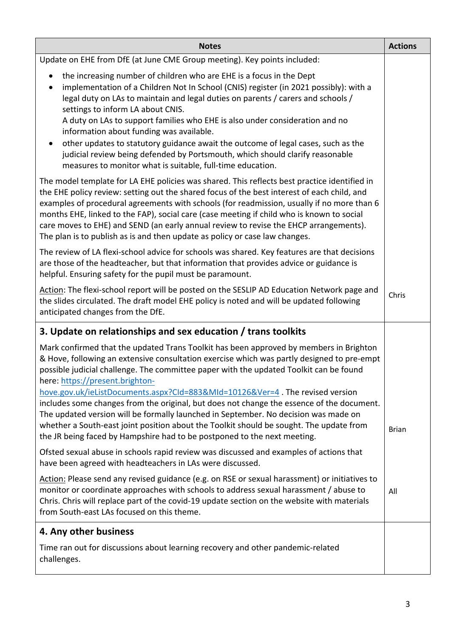| <b>Notes</b>                                                                                                                                                                                                                                                                                                                                                                                                                                                                                                                                                   | <b>Actions</b> |
|----------------------------------------------------------------------------------------------------------------------------------------------------------------------------------------------------------------------------------------------------------------------------------------------------------------------------------------------------------------------------------------------------------------------------------------------------------------------------------------------------------------------------------------------------------------|----------------|
| Update on EHE from DfE (at June CME Group meeting). Key points included:                                                                                                                                                                                                                                                                                                                                                                                                                                                                                       |                |
| the increasing number of children who are EHE is a focus in the Dept<br>implementation of a Children Not In School (CNIS) register (in 2021 possibly): with a<br>legal duty on LAs to maintain and legal duties on parents / carers and schools /<br>settings to inform LA about CNIS.<br>A duty on LAs to support families who EHE is also under consideration and no<br>information about funding was available.                                                                                                                                             |                |
| other updates to statutory guidance await the outcome of legal cases, such as the<br>judicial review being defended by Portsmouth, which should clarify reasonable<br>measures to monitor what is suitable, full-time education.                                                                                                                                                                                                                                                                                                                               |                |
| The model template for LA EHE policies was shared. This reflects best practice identified in<br>the EHE policy review: setting out the shared focus of the best interest of each child, and<br>examples of procedural agreements with schools (for readmission, usually if no more than 6<br>months EHE, linked to the FAP), social care (case meeting if child who is known to social<br>care moves to EHE) and SEND (an early annual review to revise the EHCP arrangements).<br>The plan is to publish as is and then update as policy or case law changes. |                |
| The review of LA flexi-school advice for schools was shared. Key features are that decisions<br>are those of the headteacher, but that information that provides advice or guidance is<br>helpful. Ensuring safety for the pupil must be paramount.                                                                                                                                                                                                                                                                                                            |                |
| Action: The flexi-school report will be posted on the SESLIP AD Education Network page and<br>the slides circulated. The draft model EHE policy is noted and will be updated following<br>anticipated changes from the DfE.                                                                                                                                                                                                                                                                                                                                    | Chris          |
| 3. Update on relationships and sex education / trans toolkits                                                                                                                                                                                                                                                                                                                                                                                                                                                                                                  |                |
| Mark confirmed that the updated Trans Toolkit has been approved by members in Brighton<br>& Hove, following an extensive consultation exercise which was partly designed to pre-empt<br>possible judicial challenge. The committee paper with the updated Toolkit can be found<br>here: https://present.brighton-                                                                                                                                                                                                                                              |                |
| hove.gov.uk/ieListDocuments.aspx?Cld=883&MId=10126&Ver=4. The revised version<br>includes some changes from the original, but does not change the essence of the document.<br>The updated version will be formally launched in September. No decision was made on<br>whether a South-east joint position about the Toolkit should be sought. The update from<br>the JR being faced by Hampshire had to be postponed to the next meeting.                                                                                                                       | <b>Brian</b>   |
| Ofsted sexual abuse in schools rapid review was discussed and examples of actions that<br>have been agreed with headteachers in LAs were discussed.                                                                                                                                                                                                                                                                                                                                                                                                            |                |
| Action: Please send any revised guidance (e.g. on RSE or sexual harassment) or initiatives to<br>monitor or coordinate approaches with schools to address sexual harassment / abuse to<br>Chris. Chris will replace part of the covid-19 update section on the website with materials<br>from South-east LAs focused on this theme.                                                                                                                                                                                                                            | All            |
| 4. Any other business                                                                                                                                                                                                                                                                                                                                                                                                                                                                                                                                          |                |
| Time ran out for discussions about learning recovery and other pandemic-related<br>challenges.                                                                                                                                                                                                                                                                                                                                                                                                                                                                 |                |